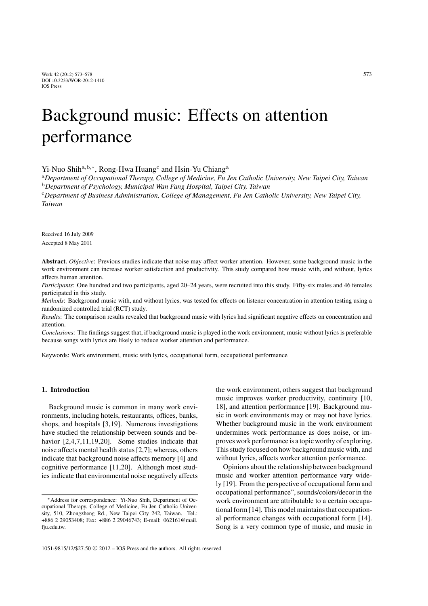# Background music: Effects on attention performance

Yi-Nuo Shih<sup>a,b,∗</sup>, Rong-Hwa Huang<sup>c</sup> and Hsin-Yu Chiang<sup>a</sup>

<sup>a</sup>*Department of Occupational Therapy, College of Medicine, Fu Jen Catholic University, New Taipei City, Taiwan* <sup>b</sup>*Department of Psychology, Municipal Wan Fang Hospital, Taipei City, Taiwan*

<sup>c</sup>*Department of Business Administration, College of Management, Fu Jen Catholic University, New Taipei City, Taiwan*

Received 16 July 2009 Accepted 8 May 2011

**Abstract**. *Objective*: Previous studies indicate that noise may affect worker attention. However, some background music in the work environment can increase worker satisfaction and productivity. This study compared how music with, and without, lyrics affects human attention.

*Participants*: One hundred and two participants, aged 20–24 years, were recruited into this study. Fifty-six males and 46 females participated in this study.

*Methods*: Background music with, and without lyrics, was tested for effects on listener concentration in attention testing using a randomized controlled trial (RCT) study.

*Results*: The comparison results revealed that background music with lyrics had significant negative effects on concentration and attention.

*Conclusions*: The findings suggest that, if background music is played in the work environment, music without lyrics is preferable because songs with lyrics are likely to reduce worker attention and performance.

Keywords: Work environment, music with lyrics, occupational form, occupational performance

## **1. Introduction**

Background music is common in many work environments, including hotels, restaurants, offices, banks, shops, and hospitals [3,19]. Numerous investigations have studied the relationship between sounds and behavior [2,4,7,11,19,20]. Some studies indicate that noise affects mental health status [2,7]; whereas, others indicate that background noise affects memory [4] and cognitive performance [11,20]. Although most studies indicate that environmental noise negatively affects the work environment, others suggest that background music improves worker productivity, continuity [10, 18], and attention performance [19]. Background music in work environments may or may not have lyrics. Whether background music in the work environment undermines work performance as does noise, or improves work performance is a topic worthy of exploring. This study focused on how background music with, and without lyrics, affects worker attention performance.

Opinions about the relationship between background music and worker attention performance vary widely [19]. From the perspective of occupational form and occupational performance", sounds/colors/decor in the work environment are attributable to a certain occupational form [14]. This model maintains that occupational performance changes with occupational form [14]. Song is a very common type of music, and music in

<sup>∗</sup>Address for correspondence: Yi-Nuo Shih, Department of Occupational Therapy, College of Medicine, Fu Jen Catholic University, 510, Zhongzheng Rd., New Taipei City 242, Taiwan. Tel.: +886 2 29053408; Fax: +886 2 29046743; E-mail: 062161@mail. fju.edu.tw.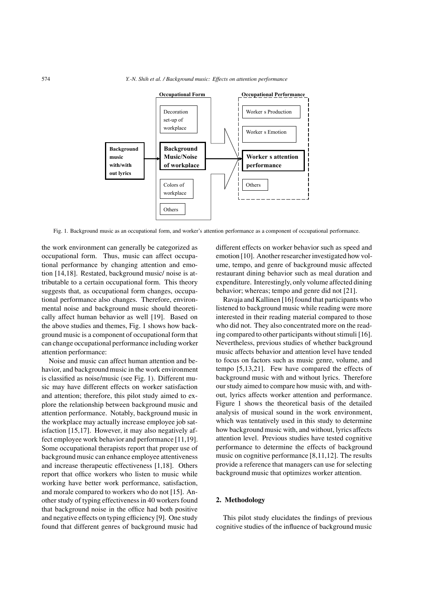

Fig. 1. Background music as an occupational form, and worker's attention performance as a component of occupational performance.

the work environment can generally be categorized as occupational form. Thus, music can affect occupational performance by changing attention and emotion [14,18]. Restated, background music/ noise is attributable to a certain occupational form. This theory suggests that, as occupational form changes, occupational performance also changes. Therefore, environmental noise and background music should theoretically affect human behavior as well [19]. Based on the above studies and themes, Fig. 1 shows how background music is a component of occupational form that can change occupational performance including worker attention performance:

Noise and music can affect human attention and behavior, and background music in the work environment is classified as noise/music (see Fig. 1). Different music may have different effects on worker satisfaction and attention; therefore, this pilot study aimed to explore the relationship between background music and attention performance. Notably, background music in the workplace may actually increase employee job satisfaction [15,17]. However, it may also negatively affect employee work behavior and performance [11,19]. Some occupational therapists report that proper use of background music can enhance employee attentiveness and increase therapeutic effectiveness [1,18]. Others report that office workers who listen to music while working have better work performance, satisfaction, and morale compared to workers who do not [15]. Another study of typing effectiveness in 40 workers found that background noise in the office had both positive and negative effects on typing efficiency [9]. One study found that different genres of background music had different effects on worker behavior such as speed and emotion [10]. Another researcher investigated how volume, tempo, and genre of background music affected restaurant dining behavior such as meal duration and expenditure. Interestingly, only volume affected dining behavior; whereas; tempo and genre did not [21].

Ravaja and Kallinen [16] found that participants who listened to background music while reading were more interested in their reading material compared to those who did not. They also concentrated more on the reading compared to other participants without stimuli [16]. Nevertheless, previous studies of whether background music affects behavior and attention level have tended to focus on factors such as music genre, volume, and tempo [5,13,21]. Few have compared the effects of background music with and without lyrics. Therefore our study aimed to compare how music with, and without, lyrics affects worker attention and performance. Figure 1 shows the theoretical basis of the detailed analysis of musical sound in the work environment, which was tentatively used in this study to determine how background music with, and without, lyrics affects attention level. Previous studies have tested cognitive performance to determine the effects of background music on cognitive performance [8,11,12]. The results provide a reference that managers can use for selecting background music that optimizes worker attention.

## **2. Methodology**

This pilot study elucidates the findings of previous cognitive studies of the influence of background music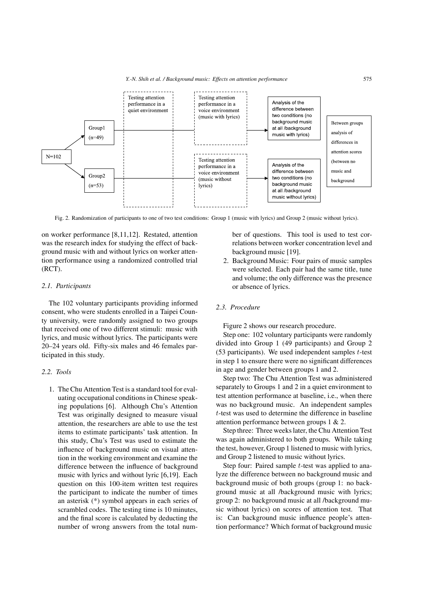

Fig. 2. Randomization of participants to one of two test conditions: Group 1 (music with lyrics) and Group 2 (music without lyrics).

on worker performance [8,11,12]. Restated, attention was the research index for studying the effect of background music with and without lyrics on worker attention performance using a randomized controlled trial (RCT).

## *2.1. Participants*

The 102 voluntary participants providing informed consent, who were students enrolled in a Taipei County university, were randomly assigned to two groups that received one of two different stimuli: music with lyrics, and music without lyrics. The participants were 20–24 years old. Fifty-six males and 46 females participated in this study.

## *2.2. Tools*

1. The Chu Attention Test is a standard tool for evaluating occupational conditions in Chinese speaking populations [6]. Although Chu's Attention Test was originally designed to measure visual attention, the researchers are able to use the test items to estimate participants' task attention. In this study, Chu's Test was used to estimate the influence of background music on visual attention in the working environment and examine the difference between the influence of background music with lyrics and without lyric [6,19]. Each question on this 100-item written test requires the participant to indicate the number of times an asterisk (\*) symbol appears in each series of scrambled codes. The testing time is 10 minutes, and the final score is calculated by deducting the number of wrong answers from the total num-

ber of questions. This tool is used to test correlations between worker concentration level and background music [19].

2. Background Music: Four pairs of music samples were selected. Each pair had the same title, tune and volume; the only difference was the presence or absence of lyrics.

# *2.3. Procedure*

Figure 2 shows our research procedure.

Step one: 102 voluntary participants were randomly divided into Group 1 (49 participants) and Group 2 (53 participants). We used independent samples *t*-test in step 1 to ensure there were no significant differences in age and gender between groups 1 and 2.

Step two: The Chu Attention Test was administered separately to Groups 1 and 2 in a quiet environment to test attention performance at baseline, i.e., when there was no background music. An independent samples *t*-test was used to determine the difference in baseline attention performance between groups 1 & 2.

Step three: Three weeks later, the Chu Attention Test was again administered to both groups. While taking the test, however, Group 1 listened to music with lyrics, and Group 2 listened to music without lyrics.

Step four: Paired sample *t*-test was applied to analyze the difference between no background music and background music of both groups (group 1: no background music at all /background music with lyrics; group 2: no background music at all /background music without lyrics) on scores of attention test. That is: Can background music influence people's attention performance? Which format of background music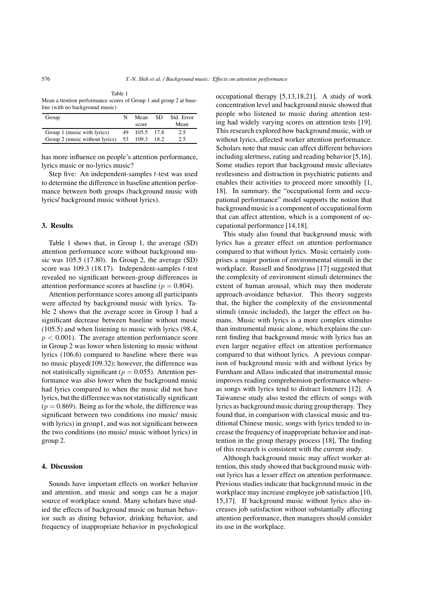Table 1 Mean a ttention performance scores of Group 1 and group 2 at baseline (with no background music)

| Group                          | N  | Mean  | SD.    | Std. Error |
|--------------------------------|----|-------|--------|------------|
|                                |    | score |        | Mean       |
| Group 1 (music with lyrics)    | 49 | 105.5 | - 17.8 | 2.5        |
| Group 2 (music without lyrics) | 53 | 109.3 | 18.2   | 2.5        |

has more influence on people's attention performance, lyrics music or no-lyrics music?

Step five: An independent-samples *t*-test was used to determine the difference in baseline attention performance between both groups (background music with lyrics/ background music without lyrics).

## **3. Results**

Table 1 shows that, in Group 1, the average (SD) attention performance score without background music was 105.5 (17.80). In Group 2, the average (SD) score was 109.3 (18.17). Independent-samples *t*-test revealed no significant between-group differences in attention performance scores at baseline ( $p = 0.804$ ).

Attention performance scores among all participants were affected by background music with lyrics. Table 2 shows that the average score in Group 1 had a significant decrease between baseline without music (105.5) and when listening to music with lyrics (98.4,  $p < 0.001$ ). The average attention performance score in Group 2 was lower when listening to music without lyrics (106.6) compared to baseline where there was no music played(109.32); however, the difference was not statistically significant ( $p = 0.055$ ). Attention performance was also lower when the background music had lyrics compared to when the music did not have lyrics, but the difference was not statistically significant  $(p = 0.869)$ . Being as for the whole, the difference was significant between two conditions (no music/ music with lyrics) in group1, and was not significant between the two conditions (no music/ music without lyrics) in group 2.

### **4. Discussion**

Sounds have important effects on worker behavior and attention, and music and songs can be a major source of workplace sound. Many scholars have studied the effects of background music on human behavior such as dining behavior, drinking behavior, and frequency of inappropriate behavior in psychological occupational therapy [5,13,18,21]. A study of work concentration level and background music showed that people who listened to music during attention testing had widely varying scores on attention tests [19]. This research explored how background music, with or without lyrics, affected worker attention performance. Scholars note that music can affect different behaviors including alertness, eating and reading behavior [5,16]. Some studies report that background music alleviates restlessness and distraction in psychiatric patients and enables their activities to proceed more smoothly [1, 18]. In summary, the "occupational form and occupational performance" model supports the notion that background music is a component of occupational form that can affect attention, which is a component of occupational performance [14,18].

This study also found that background music with lyrics has a greater effect on attention performance compared to that without lyrics. Music certainly comprises a major portion of environmental stimuli in the workplace. Russell and Snodgrass [17] suggested that the complexity of environment stimuli determines the extent of human arousal, which may then moderate approach-avoidance behavior. This theory suggests that, the higher the complexity of the environmental stimuli (music included), the larger the effect on humans. Music with lyrics is a more complex stimulus than instrumental music alone, which explains the current finding that background music with lyrics has an even larger negative effect on attention performance compared to that without lyrics. A previous comparison of background music with and without lyrics by Furnham and Allass indicated that instrumental music improves reading comprehension performance whereas songs with lyrics tend to distract listeners [12]. A Taiwanese study also tested the effects of songs with lyrics as background music during group therapy. They found that, in comparison with classical music and traditional Chinese music, songs with lyrics tended to increase the frequency of inappropriate behavior and inattention in the group therapy process [18], The finding of this research is consistent with the current study.

Although background music may affect worker attention, this study showed that background music without lyrics has a lesser effect on attention performance. Previous studies indicate that background music in the workplace may increase employee job satisfaction [10, 15,17]. If background music without lyrics also increases job satisfaction without substantially affecting attention performance, then managers should consider its use in the workplace.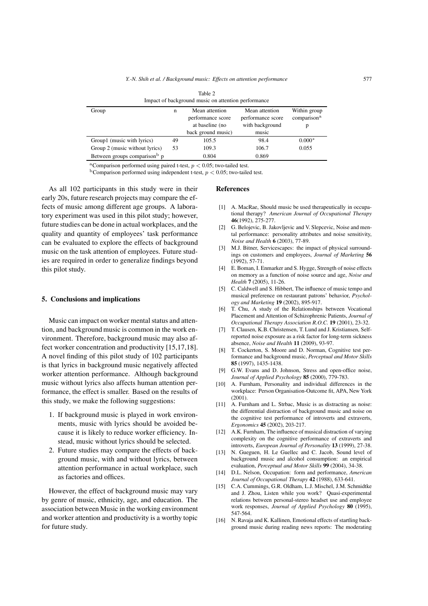| Table 2<br>Impact of background music on attention performance |    |                                                                              |                                                                 |                                              |  |  |  |
|----------------------------------------------------------------|----|------------------------------------------------------------------------------|-----------------------------------------------------------------|----------------------------------------------|--|--|--|
| Group                                                          | n  | Mean attention<br>performance score<br>at baseline (no<br>back ground music) | Mean attention<br>performance score<br>with background<br>music | Within group<br>comparison <sup>a</sup><br>р |  |  |  |
| Group1 (music with lyrics)                                     | 49 | 105.5                                                                        | 98.4                                                            | $0.000*$                                     |  |  |  |
| Group 2 (music without lyrics)                                 | 53 | 109.3                                                                        | 106.7                                                           | 0.055                                        |  |  |  |
| Between groups comparison <sup>b</sup> p                       |    | 0.804                                                                        | 0.869                                                           |                                              |  |  |  |

<sup>a</sup>Comparison performed using paired t-test,  $p < 0.05$ ; two-tailed test.

<sup>b</sup>Comparison performed using independent t-test, *p <* 0.05; two-tailed test.

As all 102 participants in this study were in their early 20s, future research projects may compare the effects of music among different age groups. A laboratory experiment was used in this pilot study; however, future studies can be done in actual workplaces, and the quality and quantity of employees' task performance can be evaluated to explore the effects of background music on the task attention of employees. Future studies are required in order to generalize findings beyond this pilot study.

### **5. Conclusions and implications**

Music can impact on worker mental status and attention, and background music is common in the work environment. Therefore, background music may also affect worker concentration and productivity [15,17,18]. A novel finding of this pilot study of 102 participants is that lyrics in background music negatively affected worker attention performance. Although background music without lyrics also affects human attention performance, the effect is smaller. Based on the results of this study, we make the following suggestions:

- 1. If background music is played in work environments, music with lyrics should be avoided because it is likely to reduce worker efficiency. Instead, music without lyrics should be selected.
- 2. Future studies may compare the effects of background music, with and without lyrics, between attention performance in actual workplace, such as factories and offices.

However, the effect of background music may vary by genre of music, ethnicity, age, and education. The association between Music in the working environment and worker attention and productivity is a worthy topic for future study.

## **References**

- [1] A. MacRae, Should music be used therapeutically in occupational therapy? *American Journal of Occupational Therapy* **46**(1992), 275-277.
- [2] G. Belojevic, B. Jakovljevic and V. Slepcevic, Noise and mental performance: personality attributes and noise sensitivity, *Noise and Health* **6** (2003), 77-89.
- [3] M.J. Bitner, Servicescapes: the impact of physical surroundings on customers and employees, *Journal of Marketing* **56** (1992), 57-71.
- [4] E. Boman, I. Enmarker and S. Hygge, Strength of noise effects on memory as a function of noise source and age, *Noise and Health* **7** (2005), 11-26.
- [5] C. Caldwell and S. Hibbert, The influence of music tempo and musical preference on restaurant patrons' behavior, *Psychology and Marketing* **19** (2002), 895-917.
- [6] T. Chu, A study of the Relationships between Vocational Placement and Attention of Schizophrenic Patients, *Journal of Occupational Therapy Association R.O.C.* **19** (2001), 23-32.
- [7] T. Clausen, K.B. Christensen, T. Lund and J. Kristiansen, Selfreported noise exposure as a risk factor for long-term sickness absence, *Noise and Health* **11** (2009), 93-97.
- [8] T. Cockerton, S. Moore and D. Norman, Cognitive test performance and background music, *Perceptual and Motor Skills* **85** (1997), 1435-1438.
- [9] G.W. Evans and D. Johnson, Stress and open-office noise, *Journal of Applied Psychology* **85** (2000), 779-783.
- [10] A. Furnham, Personality and individual differences in the workplace: Person Organisation-Outcome fit, APA, New York (2001).
- [11] A. Furnham and L. Strbac, Music is as distracting as noise: the differential distraction of background music and noise on the cognitive test performance of introverts and extraverts, *Ergonomics* **45** (2002), 203-217.
- [12] A.K. Furnham, The influence of musical distraction of varying complexity on the cognitive performance of extraverts and introverts, *European Journal of Personality* **13** (1999), 27-38.
- [13] N. Gueguen, H. Le Guellec and C. Jacob, Sound level of background music and alcohol consumption: an empirical evaluation, *Perceptual and Motor Skills* **99** (2004), 34-38.
- [14] D.L. Nelson, Occupation: form and performance, *American Journal of Occupational Therapy* **42** (1988), 633-641.
- [15] C.A. Cummings, G.R. Oldham, L.J. Mischel, J.M. Schmidtke and J. Zhou, Listen while you work? Quasi-experimental relations between personal-stereo headset use and employee work responses, *Journal of Applied Psychology* **80** (1995), 547-564.
- [16] N. Ravaja and K. Kallinen, Emotional effects of startling background music during reading news reports: The moderating